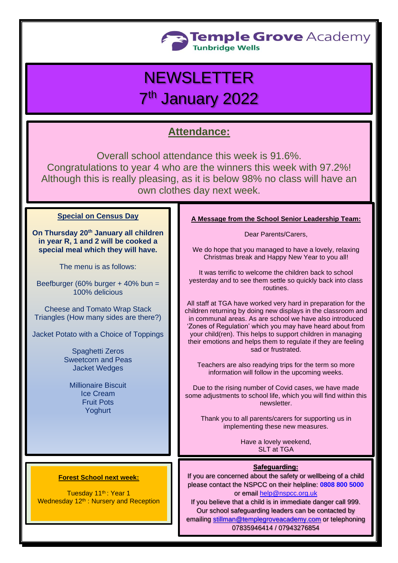

# NEWSLETTER 7<sup>th</sup> January 2022

## **Attendance:**

Overall school attendance this week is 91.6%. Congratulations to year 4 who are the winners this week with 97.2%! Although this is really pleasing, as it is below 98% no class will have an own clothes day next week.

### **Special on Census Day**

**On Thursday 20th January all children in year R, 1 and 2 will be cooked a special meal which they will have.**

The menu is as follows:

Beefburger (60% burger + 40% bun = 100% delicious

Cheese and Tomato Wrap Stack Triangles (How many sides are there?)

Jacket Potato with a Choice of Toppings

Spaghetti Zeros Sweetcorn and Peas Jacket Wedges

Millionaire Biscuit Ice Cream Fruit Pots Yoghurt

#### **A Message from the School Senior Leadership Team:**

Dear Parents/Carers,

We do hope that you managed to have a lovely, relaxing Christmas break and Happy New Year to you all!

It was terrific to welcome the children back to school yesterday and to see them settle so quickly back into class routines.

All staff at TGA have worked very hard in preparation for the children returning by doing new displays in the classroom and in communal areas. As are school we have also introduced 'Zones of Regulation' which you may have heard about from your child(ren). This helps to support children in managing their emotions and helps them to regulate if they are feeling sad or frustrated.

Teachers are also readying trips for the term so more information will follow in the upcoming weeks.

Due to the rising number of Covid cases, we have made some adjustments to school life, which you will find within this newsletter.

Thank you to all parents/carers for supporting us in implementing these new measures.

> Have a lovely weekend, SLT at TGA

#### **Safeguarding:**

If you are concerned about the safety or wellbeing of a child please contact the NSPCC on their helpline: **[0808 800 5000](tel:08088005000)** or email [help@nspcc.org.uk](mailto:help@nspcc.org.uk)

If you believe that a child is in immediate danger call 999. Our school safeguarding leaders can be contacted by emailing [stillman@templegroveacademy.com](mailto:stillman@templegroveacademy.com) or telephoning 07835946414 / 07943276854

#### **Forest School next week:**

Tuesday 11<sup>th</sup>: Year 1 Wednesday 12<sup>th</sup> : Nursery and Reception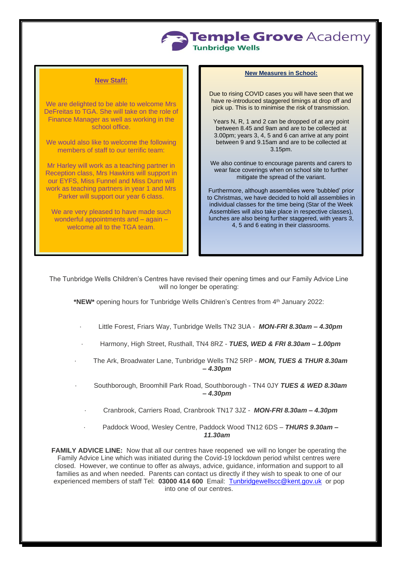

#### **New Staff:**

We are delighted to be able to welcome Mrs DeFreitas to TGA. She will take on the role of Finance Manager as well as working in the school office.

We would also like to welcome the following members of staff to our terrific team:

Mr Harley will work as a teaching partner in Reception class, Mrs Hawkins will support in our EYFS, Miss Funnel and Miss Dunn will work as teaching partners in year 1 and Mrs Parker will support our year 6 class.

We are very pleased to have made such wonderful appointments and – again – welcome all to the TGA team.

#### **New Measures in School:**

Due to rising COVID cases you will have seen that we have re-introduced staggered timings at drop off and pick up. This is to minimise the risk of transmission.

Years N, R, 1 and 2 can be dropped of at any point between 8.45 and 9am and are to be collected at 3.00pm; years 3, 4, 5 and 6 can arrive at any point between 9 and 9.15am and are to be collected at 3.15pm.

We also continue to encourage parents and carers to wear face coverings when on school site to further mitigate the spread of the variant.

Furthermore, although assemblies were 'bubbled' prior to Christmas, we have decided to hold all assemblies in individual classes for the time being (Star of the Week Assemblies will also take place in respective classes), lunches are also being further staggered, with years 3, 4, 5 and 6 eating in their classrooms.

The Tunbridge Wells Children's Centres have revised their opening times and our Family Advice Line will no longer be operating:

**\*NEW\*** opening hours for Tunbridge Wells Children's Centres from 4 th January 2022:

- · Little Forest, Friars Way, Tunbridge Wells TN2 3UA *MON-FRI 8.30am – 4.30pm*
- · Harmony, High Street, Rusthall, TN4 8RZ *TUES, WED & FRI 8.30am – 1.00pm*
- · The Ark, Broadwater Lane, Tunbridge Wells TN2 5RP *MON, TUES & THUR 8.30am – 4.30pm*
- · Southborough, Broomhill Park Road, Southborough TN4 0JY *TUES & WED 8.30am – 4.30pm*
	- · Cranbrook, Carriers Road, Cranbrook TN17 3JZ *MON-FRI 8.30am – 4.30pm*
	- · Paddock Wood, Wesley Centre, Paddock Wood TN12 6DS *THURS 9.30am – 11.30am*

**FAMILY ADVICE LINE:** Now that all our centres have reopened we will no longer be operating the Family Advice Line which was initiated during the Covid-19 lockdown period whilst centres were closed. However, we continue to offer as always, advice, guidance, information and support to all families as and when needed. Parents can contact us directly if they wish to speak to one of our experienced members of staff Tel: **03000 414 600** Email: [Tunbridgewellscc@kent.gov.uk](mailto:Tunbridgewellscc@kent.gov.uk) or pop into one of our centres.